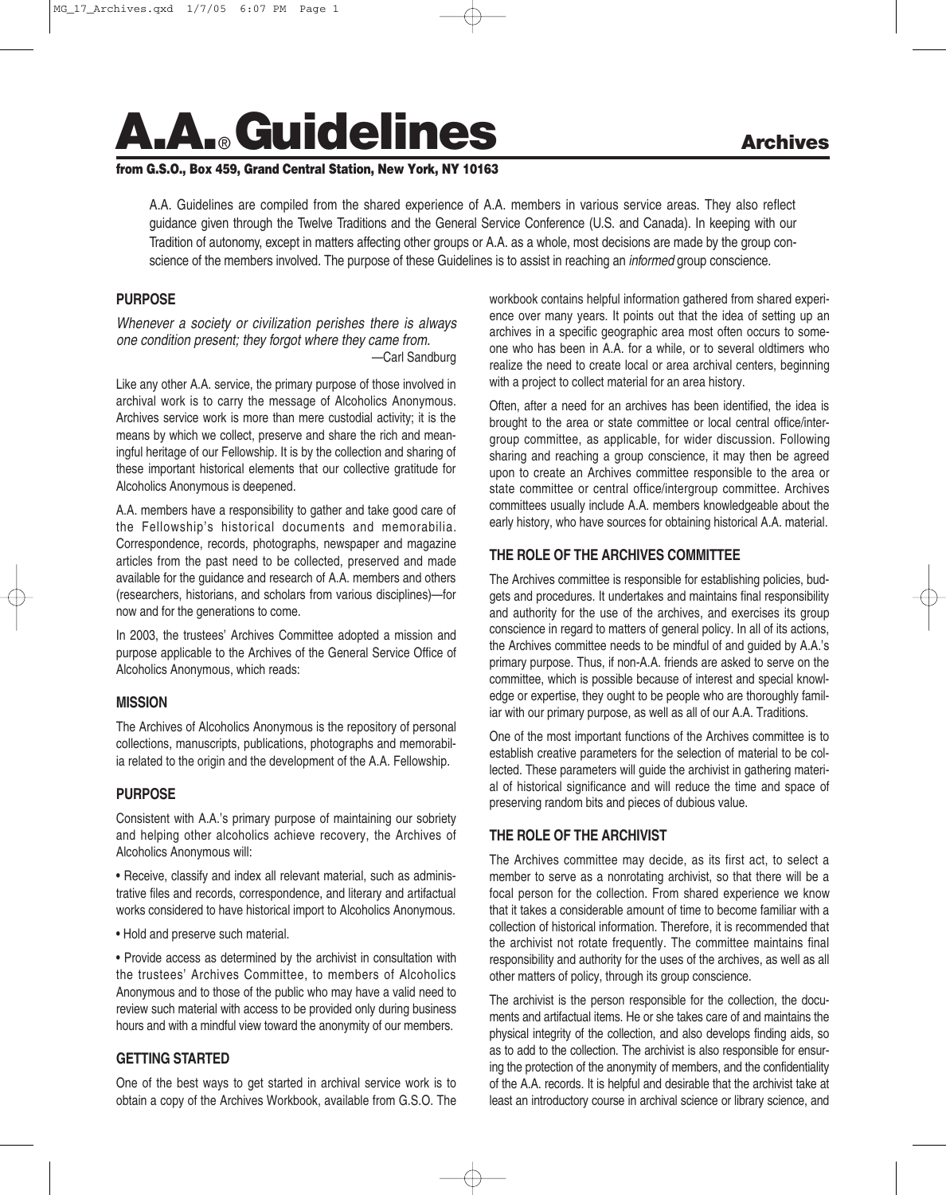# **A.A.**®**Guidelines Archives**

#### **from G.S.O., Box 459, Grand Central Station, New York, NY 10163**

A.A. Guidelines are compiled from the shared experience of A.A. members in various service areas. They also reflect guidance given through the Twelve Traditions and the General Service Conference (U.S. and Canada). In keeping with our Tradition of autonomy, except in matters affecting other groups or A.A. as a whole, most decisions are made by the group conscience of the members involved. The purpose of these Guidelines is to assist in reaching an *informed* group conscience.

## **PURPOSE**

*Whenever a society or civilization perishes there is always one condition present; they forgot where they came from. —*Carl Sandburg

Like any other A.A. service, the primary purpose of those involved in archival work is to carry the message of Alcoholics Anonymous. Archives service work is more than mere custodial activity; it is the means by which we collect, preserve and share the rich and meaningful heritage of our Fellowship. It is by the collection and sharing of these important historical elements that our collective gratitude for Alcoholics Anonymous is deepened.

A.A. members have a responsibility to gather and take good care of the Fellowship's historical documents and memorabilia. Correspondence, records, photographs, newspaper and magazine articles from the past need to be collected, preserved and made available for the guidance and research of A.A. members and others (researchers, historians, and scholars from various disciplines)—for now and for the generations to come.

In 2003, the trustees' Archives Committee adopted a mission and purpose applicable to the Archives of the General Service Office of Alcoholics Anonymous, which reads:

#### **MISSION**

The Archives of Alcoholics Anonymous is the repository of personal collections, manuscripts, publications, photographs and memorabilia related to the origin and the development of the A.A. Fellowship.

#### **PURPOSE**

Consistent with A.A.'s primary purpose of maintaining our sobriety and helping other alcoholics achieve recovery, the Archives of Alcoholics Anonymous will:

• Receive, classify and index all relevant material, such as administrative files and records, correspondence, and literary and artifactual works considered to have historical import to Alcoholics Anonymous.

• Hold and preserve such material.

• Provide access as determined by the archivist in consultation with the trustees' Archives Committee, to members of Alcoholics Anonymous and to those of the public who may have a valid need to review such material with access to be provided only during business hours and with a mindful view toward the anonymity of our members.

## **GETTING STARTED**

One of the best ways to get started in archival service work is to obtain a copy of the Archives Workbook, available from G.S.O. The workbook contains helpful information gathered from shared experience over many years. It points out that the idea of setting up an archives in a specific geographic area most often occurs to someone who has been in A.A. for a while, or to several oldtimers who realize the need to create local or area archival centers, beginning with a project to collect material for an area history.

Often, after a need for an archives has been identified, the idea is brought to the area or state committee or local central office/intergroup committee, as applicable, for wider discussion. Following sharing and reaching a group conscience, it may then be agreed upon to create an Archives committee responsible to the area or state committee or central office/intergroup committee. Archives committees usually include A.A. members knowledgeable about the early history, who have sources for obtaining historical A.A. material.

## **THE ROLE OF THE ARCHIVES COMMITTEE**

The Archives committee is responsible for establishing policies, budgets and procedures. It undertakes and maintains final responsibility and authority for the use of the archives, and exercises its group conscience in regard to matters of general policy. In all of its actions, the Archives committee needs to be mindful of and guided by A.A.'s primary purpose. Thus, if non-A.A. friends are asked to serve on the committee, which is possible because of interest and special knowledge or expertise, they ought to be people who are thoroughly familiar with our primary purpose, as well as all of our A.A. Traditions.

One of the most important functions of the Archives committee is to establish creative parameters for the selection of material to be collected. These parameters will guide the archivist in gathering material of historical significance and will reduce the time and space of preserving random bits and pieces of dubious value.

## **THE ROLE OF THE ARCHIVIST**

The Archives committee may decide, as its first act, to select a member to serve as a nonrotating archivist, so that there will be a focal person for the collection. From shared experience we know that it takes a considerable amount of time to become familiar with a collection of historical information. Therefore, it is recommended that the archivist not rotate frequently. The committee maintains final responsibility and authority for the uses of the archives, as well as all other matters of policy, through its group conscience.

The archivist is the person responsible for the collection, the documents and artifactual items. He or she takes care of and maintains the physical integrity of the collection, and also develops finding aids, so as to add to the collection. The archivist is also responsible for ensuring the protection of the anonymity of members, and the confidentiality of the A.A. records. It is helpful and desirable that the archivist take at least an introductory course in archival science or library science, and